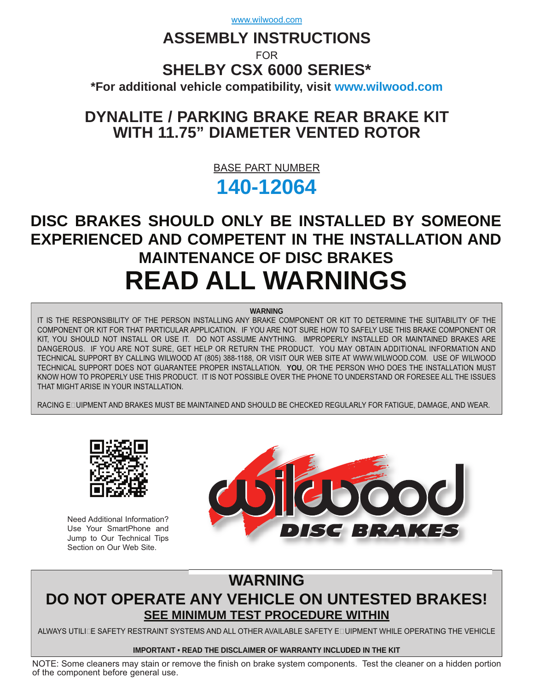www.wilwood.com

# **ASSEMBLY INSTRUCTIONS**

FOR

# **SHELBY CSX 6000 SERIES\***

**\*For additional vehicle compatibility, visit<www.wilwood.com>**

# **DYNALITE / PARKING BRAKE REAR BRAKE KIT WITH 11.75" DIAMETER VENTED ROTOR**

BASE PART NUMBER

# **[140-12064](http://www.wilwood.com/Search/PartNoSearch.aspx?itemno=12064)**

# **DISC BRAKES SHOULD ONLY BE INSTALLED BY SOMEONE EXPERIENCED AND COMPETENT IN THE INSTALLATION AND MAINTENANCE OF DISC BRAKES READ ALL WARNINGS**

#### **WARNING**

IT IS THE RESPONSIBILITY OF THE PERSON INSTALLING ANY BRAKE COMPONENT OR KIT TO DETERMINE THE SUITABILITY OF THE COMPONENT OR KIT FOR THAT PARTICULAR APPLICATION. IF YOU ARE NOT SURE HOW TO SAFELY USE THIS BRAKE COMPONENT OR KIT, YOU SHOULD NOT INSTALL OR USE IT. DO NOT ASSUME ANYTHING. IMPROPERLY INSTALLED OR MAINTAINED BRAKES ARE DANGEROUS. IF YOU ARE NOT SURE, GET HELP OR RETURN THE PRODUCT. YOU MAY OBTAIN ADDITIONAL INFORMATION AND TECHNICAL SUPPORT BY CALLING WILWOOD AT (805) 388-1188, OR VISIT OUR WEB SITE AT WWW.WILWOOD.COM. USE OF WILWOOD TECHNICAL SUPPORT DOES NOT GUARANTEE PROPER INSTALLATION. **YOU**, OR THE PERSON WHO DOES THE INSTALLATION MUST KNOW HOW TO PROPERLY USE THIS PRODUCT. IT IS NOT POSSIBLE OVER THE PHONE TO UNDERSTAND OR FORESEE ALL THE ISSUES THAT MIGHT ARISE IN YOUR INSTALLATION.

RACING EDUIPMENT AND BRAKES MUST BE MAINTAINED AND SHOULD BE CHECKED REGULARLY FOR FATIGUE, DAMAGE, AND WEAR.



Need Additional Information? Use Your SmartPhone and Jump to Our Technical Tips Section on Our Web Site.



# **WARNING DO NOT OPERATE ANY VEHICLE ON UNTESTED BRAKES! SEE MINIMUM TEST PROCEDURE WITHIN**

ALWAYS UTILIZE SAFETY RESTRAINT SYSTEMS AND ALL OTHER AVAILABLE SAFETY EQUIPMENT WHILE OPERATING THE VEHICLE

#### **IMPORTANT • READ THE DISCLAIMER OF WARRANTY INCLUDED IN THE KIT**

NOTE: Some cleaners may stain or remove the finish on brake system components. Test the cleaner on a hidden portion of the component before general use.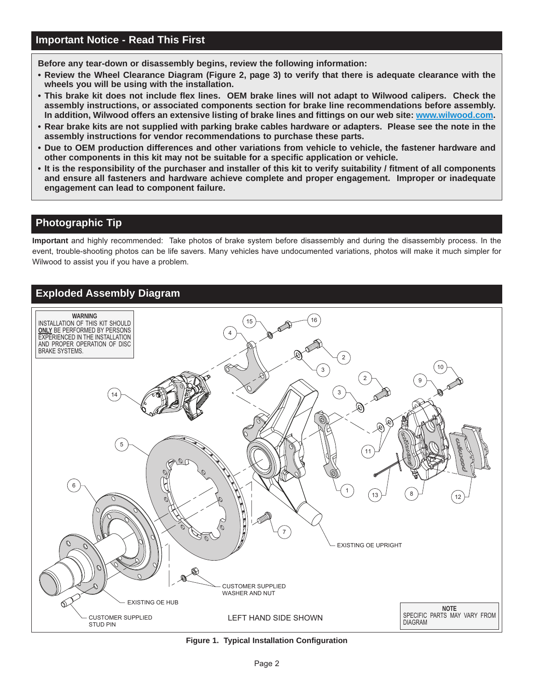**Before any tear-down or disassembly begins, review the following information:**

- **Review the Wheel Clearance Diagram (Figure 2, page 3) to verify that there is adequate clearance with the wheels you will be using with the installation.**
- **This brake kit does not include flex lines. OEM brake lines will not adapt to Wilwood calipers. Check the assembly instructions, or associated components section for brake line recommendations before assembly. In addition, Wilwood offers an extensive listing of brake lines and fittings on our web site: www.wilwood.com.**
- **Rear brake kits are not supplied with parking brake cables hardware or adapters. Please see the note in the assembly instructions for vendor recommendations to purchase these parts.**
- **Due to OEM production differences and other variations from vehicle to vehicle, the fastener hardware and other components in this kit may not be suitable for a specific application or vehicle.**
- **[It is the responsibility of the purchaser and installer of this kit to verify suitability / fitment of all components](www.wilwood.com) and ensure all fasteners and hardware achieve complete and proper engagement. Improper or inadequate engagement can lead to component failure.**

# **Photographic Tip**

**Important** and highly recommended: Take photos of brake system before disassembly and during the disassembly process. In the [event, trouble-shooting photos can be life savers. Many vehicles have undocumented variations, photos will make it much simpler for](www.wilwood.com) Wilwood to assist you if you have a problem.

## **Exploded Assembly Diagram**



**Figure 1. Typical Installation Configuration**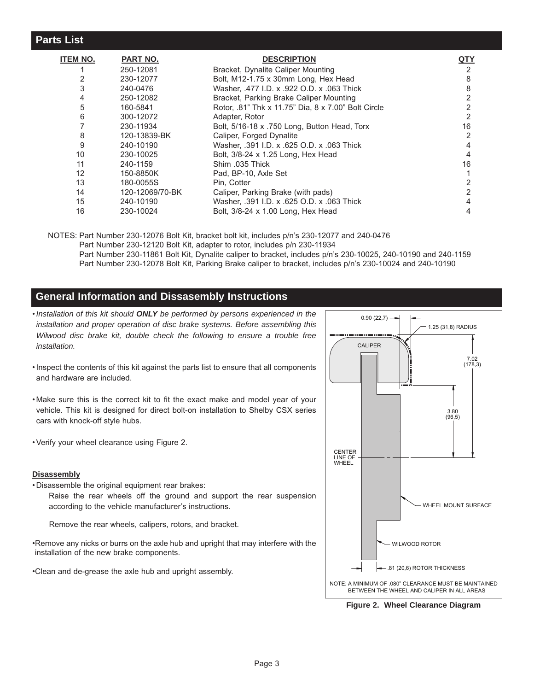| ITEM NO. | PART NO.        | <b>DESCRIPTION</b>                                  | <u>QTY</u> |
|----------|-----------------|-----------------------------------------------------|------------|
|          | 250-12081       | Bracket, Dynalite Caliper Mounting                  | 2          |
|          | 230-12077       | Bolt, M12-1.75 x 30mm Long, Hex Head                | 8          |
|          | 240-0476        | Washer, .477 I.D. x .922 O.D. x .063 Thick          | 8          |
| 4        | 250-12082       | Bracket, Parking Brake Caliper Mounting             |            |
| 5        | 160-5841        | Rotor, .81" Thk x 11.75" Dia, 8 x 7.00" Bolt Circle |            |
| 6        | 300-12072       | Adapter, Rotor                                      |            |
|          | 230-11934       | Bolt, 5/16-18 x .750 Long, Button Head, Torx        | 16         |
| 8        | 120-13839-BK    | Caliper, Forged Dynalite                            |            |
| 9        | 240-10190       | Washer, .391 I.D. x .625 O.D. x .063 Thick          |            |
| 10       | 230-10025       | Bolt, 3/8-24 x 1.25 Long, Hex Head                  |            |
| 11       | 240-1159        | Shim .035 Thick                                     | 16         |
| 12       | 150-8850K       | Pad, BP-10, Axle Set                                |            |
| 13       | 180-0055S       | Pin. Cotter                                         |            |
| 14       | 120-12069/70-BK | Caliper, Parking Brake (with pads)                  |            |
| 15       | 240-10190       | Washer, .391 I.D. x .625 O.D. x .063 Thick          |            |
| 16       | 230-10024       | Bolt, 3/8-24 x 1.00 Long, Hex Head                  |            |

NOTES: Part Number 230-12076 Bolt Kit, bracket bolt kit, includes p/n's 230-12077 and 240-0476 Part Number 230-12120 Bolt Kit, adapter to rotor, includes p/n 230-11934 Part Number 230-11861 Bolt Kit, Dynalite caliper to bracket, includes p/n's 230-10025, 240-10190 and 240-1159 Part Number 230-12078 Bolt Kit, Parking Brake caliper to bracket, includes p/n's 230-10024 and 240-10190

#### **General Information and Dissasembly Instructions**

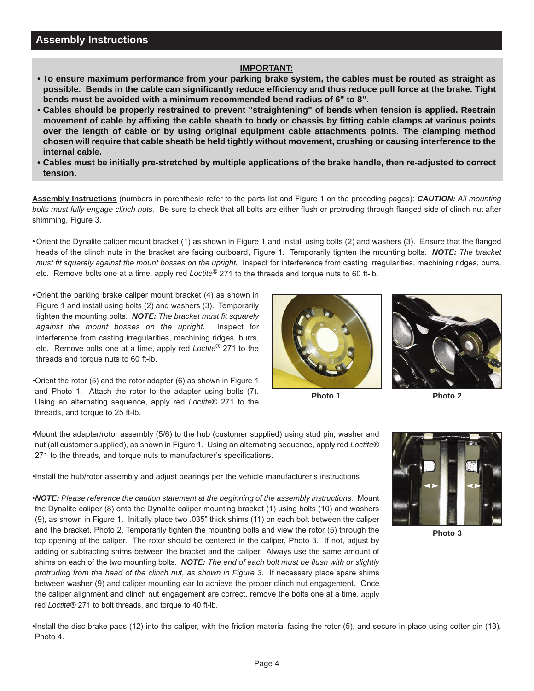#### **IMPORTANT:**

- **To ensure maximum performance from your parking brake system, the cables must be routed as straight as possible. Bends in the cable can significantly reduce efficiency and thus reduce pull force at the brake. Tight bends must be avoided with a minimum recommended bend radius of 6" to 8".**
- **[Cables should be properly restrained to prevent "straightening" of bends when tension is applied. Restrain](www.wilwood.com)  movement of cable by affixing the cable sheath to body or chassis by fitting cable clamps at various points over the length of cable or by using original equipment cable attachments points. The clamping method chosen will require that cable sheath be held tightly without movement, crushing or causing interference to the internal cable.**
- **Cables must be initially pre-stretched by multiple applications of the brake handle, then re-adjusted to correct tension.**

**Assembly Instructions** (numbers in parenthesis refer to the parts list and Figure 1 on the preceding pages): *CAUTION: All mounting bolts must fully engage clinch nuts.* Be sure to check that all bolts are either flush or protruding through flanged side of clinch nut after shimming, Figure 3.

- Orient the Dynalite caliper mount bracket (1) as shown in Figure 1 and install using bolts (2) and washers (3). Ensure that the flanged heads of the clinch nuts in the bracket are facing outboard, Figure 1. Temporarily tighten the mounting bolts. *NOTE: The bracket must fit squarely against the mount bosses on the upright.* Inspect for interference from casting irregularities, machining ridges, burrs, etc. Remove bolts one at a time, apply red *Loctite*® 271 to the threads and torque nuts to 60 ft-lb.
- Orient the parking brake caliper mount bracket (4) as shown in Figure 1 and install using bolts (2) and washers (3). Temporarily tighten the mounting bolts. *NOTE: The bracket must fit squarely against the mount bosses on the upright.* Inspect for interference from casting irregularities, machining ridges, burrs, etc. Remove bolts one at a time, apply red *Loctite*® 271 to the threads and torque nuts to 60 ft-lb.

•Orient the rotor (5) and the rotor adapter (6) as shown in Figure 1 and Photo 1. Attach the rotor to the adapter using bolts (7). Using an alternating sequence, apply red *Loctite*® 271 to the threads, and torque to 25 ft-lb.



**Photo 1**

**Photo 2**

•Mount the adapter/rotor assembly (5/6) to the hub (customer supplied) using stud pin, washer and nut (all customer supplied), as shown in Figure 1. Using an alternating sequence, apply red *Loctite*® 271 to the threads, and torque nuts to manufacturer's specifications.

•Install the hub/rotor assembly and adjust bearings per the vehicle manufacturer's instructions

•*NOTE: Please reference the caution statement at the beginning of the assembly instructions.* Mount the Dynalite caliper (8) onto the Dynalite caliper mounting bracket (1) using bolts (10) and washers (9), as shown in Figure 1. Initially place two .035" thick shims (11) on each bolt between the caliper and the bracket, Photo 2. Temporarily tighten the mounting bolts and view the rotor (5) through the top opening of the caliper. The rotor should be centered in the caliper, Photo 3. If not, adjust by adding or subtracting shims between the bracket and the caliper. Always use the same amount of shims on each of the two mounting bolts. *NOTE: The end of each bolt must be flush with or slightly protruding from the head of the clinch nut, as shown in Figure 3.* If necessary place spare shims between washer (9) and caliper mounting ear to achieve the proper clinch nut engagement. Once the caliper alignment and clinch nut engagement are correct, remove the bolts one at a time, apply red *Loctite*® 271 to bolt threads, and torque to 40 ft-lb.



**Photo 3**

[•Install the disc brake pads \(12\) into the caliper, with the friction material facing the rotor \(5\), and secure in place using cotter pin \(13\),](www.wilwood.com) Photo 4.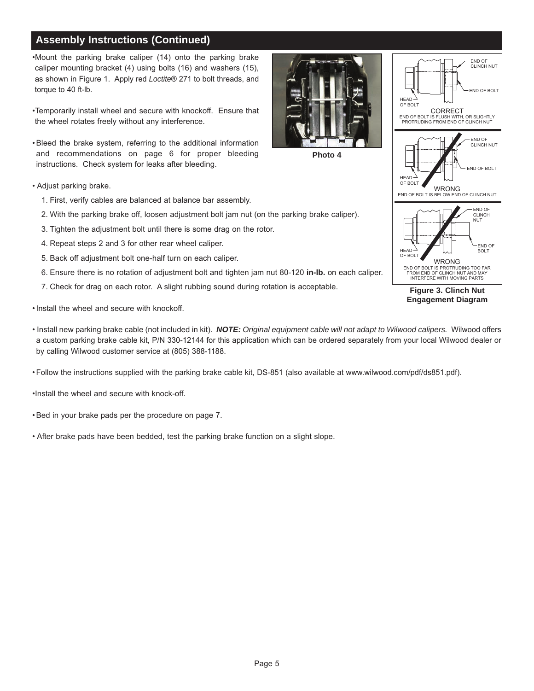# **Assembly Instructions (Continued)**

•Mount the parking brake caliper (14) onto the parking brake caliper mounting bracket (4) using bolts (16) and washers (15), as shown in Figure 1. Apply red *Loctite*® 271 to bolt threads, and torque to 40 ft-lb.

•Temporarily install wheel and secure with knockoff. Ensure that the wheel rotates freely without any interference.

• Bleed the brake system, referring to the additional information and recommendations on page 6 for proper bleeding instructions. Check system for leaks after bleeding.

- Adjust parking brake.
	- 1. First, verify cables are balanced at balance bar assembly.
	- 2. With the parking brake off, loosen adjustment bolt jam nut (on the parking brake caliper).
	- 3. Tighten the adjustment bolt until there is some drag on the rotor.
	- 4. Repeat steps 2 and 3 for other rear wheel caliper.
	- 5. Back off adjustment bolt one-half turn on each caliper.
	- 6. Ensure there is no rotation of adjustment bolt and tighten jam nut 80-120 **in-lb.** on each caliper.
	- 7. Check for drag on each rotor. A slight rubbing sound during rotation is acceptable.
- Install the wheel and secure with knockoff.
- Install new parking brake cable (not included in kit). *NOTE: Original equipment cable will not adapt to Wilwood calipers.* Wilwood offers [a custom parking brake cable kit, P/N 330-12144 for this application which can be ordered separately from your local Wilwood dealer or](www.wilwood.com) by calling Wilwood customer service at (805) 388-1188.

**Photo 4**

• Follow the instructions supplied with the parking brake cable kit, DS-851 (also available at www.wilwood.com/pdf/ds851.pdf).

•Install the wheel and secure with knock-off.

- Bed in your brake pads per the procedure on page 7.
- After brake pads have been bedded, test the parking brake function on a slight slope.





**Figure 3. Clinch Nut Engagement Diagram**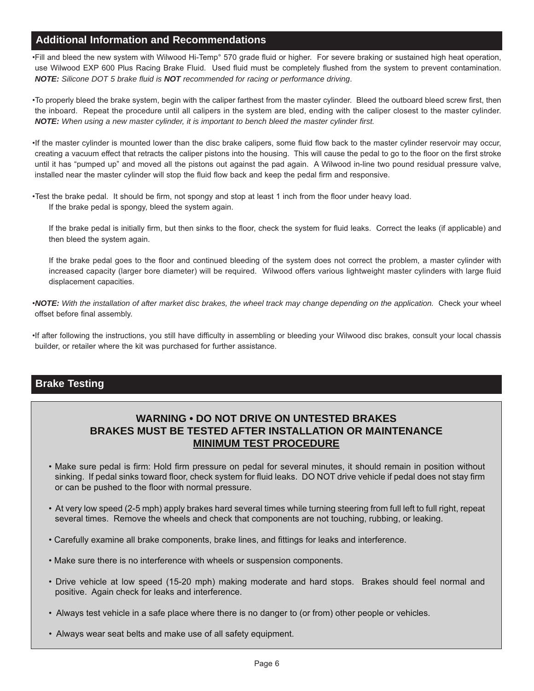## **Additional Information and Recommendations**

•Fill and bleed the new system with Wilwood Hi-Temp° 570 grade fluid or higher. For severe braking or sustained high heat operation, use Wilwood EXP 600 Plus Racing Brake Fluid. Used fluid must be completely flushed from the system to prevent contamination. *NOTE: Silicone DOT 5 brake fluid is NOT recommended for racing or performance driving*.

[•To properly bleed the brake system, begin with the caliper farthest from the master cylinder. Bleed the outboard bleed screw first, then](www.wilwood.com) the inboard. Repeat the procedure until all calipers in the system are bled, ending with the caliper closest to the master cylinder. *NOTE: When using a new master cylinder, it is important to bench bleed the master cylinder first.*

•If the master cylinder is mounted lower than the disc brake calipers, some fluid flow back to the master cylinder reservoir may occur, creating a vacuum effect that retracts the caliper pistons into the housing. This will cause the pedal to go to the floor on the first stroke until it has "pumped up" and moved all the pistons out against the pad again. A Wilwood in-line two pound residual pressure valve, installed near the master cylinder will stop the fluid flow back and keep the pedal firm and responsive.

•Test the brake pedal. It should be firm, not spongy and stop at least 1 inch from the floor under heavy load. If the brake pedal is spongy, bleed the system again.

If the brake pedal is initially firm, but then sinks to the floor, check the system for fluid leaks. Correct the leaks (if applicable) and then bleed the system again.

If the brake pedal goes to the floor and continued bleeding of the system does not correct the problem, a master cylinder with increased capacity (larger bore diameter) will be required. Wilwood offers various lightweight master cylinders with large fluid displacement capacities.

•*NOTE: With the installation of after market disc brakes, the wheel track may change depending on the application.* Check your wheel offset before final assembly.

•If after following the instructions, you still have difficulty in assembling or bleeding your Wilwood disc brakes, consult your local chassis builder, or retailer where the kit was purchased for further assistance.

## **Brake Testing**

## **WARNING • DO NOT DRIVE ON UNTESTED BRAKES BRAKES MUST BE TESTED AFTER INSTALLATION OR MAINTENANCE MINIMUM TEST PROCEDURE**

- Make sure pedal is firm: Hold firm pressure on pedal for several minutes, it should remain in position without sinking. If pedal sinks toward floor, check system for fluid leaks. DO NOT drive vehicle if pedal does not stay firm or can be pushed to the floor with normal pressure.
- [At very low speed \(2-5 mph\) apply brakes hard several times while turning steering from full left to full right, repeat](www.wilwood.com)  several times. Remove the wheels and check that components are not touching, rubbing, or leaking.
- Carefully examine all brake components, brake lines, and fittings for leaks and interference.
- Make sure there is no interference with wheels or suspension components.
- Drive vehicle at low speed (15-20 mph) making moderate and hard stops. Brakes should feel normal and positive. Again check for leaks and interference.
- Always test vehicle in a safe place where there is no danger to (or from) other people or vehicles.
- Always wear seat belts and make use of all safety equipment.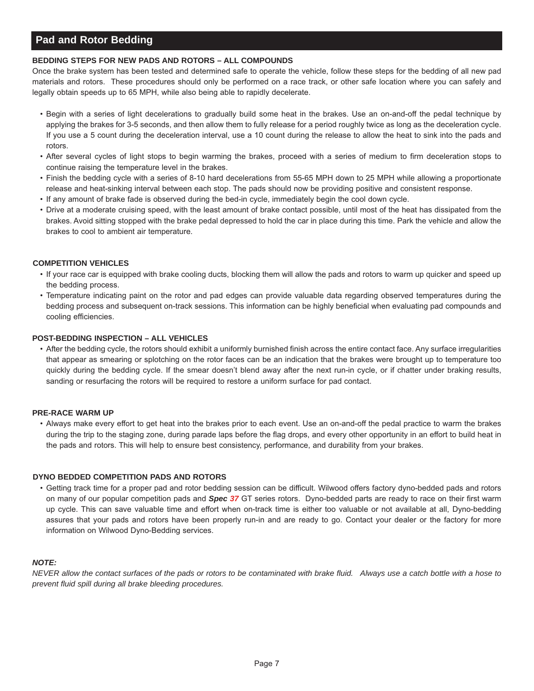## **Pad and Rotor Bedding**

#### **BEDDING STEPS FOR NEW PADS AND ROTORS – ALL COMPOUNDS**

Once the brake system has been tested and determined safe to operate the vehicle, follow these steps for the bedding of all new pad materials and rotors. These procedures should only be performed on a race track, or other safe location where you can safely and legally obtain speeds up to 65 MPH, while also being able to rapidly decelerate.

- Begin with a series of light decelerations to gradually build some heat in the brakes. Use an on-and-off the pedal technique by applying the brakes for 3-5 seconds, and then allow them to fully release for a period roughly twice as long as the deceleration cycle. If you use a 5 count during the deceleration interval, use a 10 count during the release to allow the heat to sink into the pads and rotors.
- After several cycles of light stops to begin warming the brakes, proceed with a series of medium to firm deceleration stops to continue raising the temperature level in the brakes.
- Finish the bedding cycle with a series of 8-10 hard decelerations from 55-65 MPH down to 25 MPH while allowing a proportionate release and heat-sinking interval between each stop. The pads should now be providing positive and consistent response.
- If any amount of brake fade is observed during the bed-in cycle, immediately begin the cool down cycle.
- Drive at a moderate cruising speed, with the least amount of brake contact possible, until most of the heat has dissipated from the brakes. Avoid sitting stopped with the brake pedal depressed to hold the car in place during this time. Park the vehicle and allow the brakes to cool to ambient air temperature.

#### **COMPETITION VEHICLES**

- If your race car is equipped with brake cooling ducts, blocking them will allow the pads and rotors to warm up quicker and speed up the bedding process.
- Temperature indicating paint on the rotor and pad edges can provide valuable data regarding observed temperatures during the bedding process and subsequent on-track sessions. This information can be highly beneficial when evaluating pad compounds and cooling efficiencies.

#### **POST-BEDDING INSPECTION – ALL VEHICLES**

• After the bedding cycle, the rotors should exhibit a uniformly burnished finish across the entire contact face. Any surface irregularities that appear as smearing or splotching on the rotor faces can be an indication that the brakes were brought up to temperature too quickly during the bedding cycle. If the smear doesn't blend away after the next run-in cycle, or if chatter under braking results, sanding or resurfacing the rotors will be required to restore a uniform surface for pad contact.

#### **PRE-RACE WARM UP**

• Always make every effort to get heat into the brakes prior to each event. Use an on-and-off the pedal practice to warm the brakes during the trip to the staging zone, during parade laps before the flag drops, and every other opportunity in an effort to build heat in the pads and rotors. This will help to ensure best consistency, performance, and durability from your brakes.

#### **DYNO BEDDED COMPETITION PADS AND ROTORS**

• Getting track time for a proper pad and rotor bedding session can be difficult. Wilwood offers factory dyno-bedded pads and rotors on many of our popular competition pads and *Spec 37* GT series rotors. Dyno-bedded parts are ready to race on their first warm up cycle. This can save valuable time and effort when on-track time is either too valuable or not available at all, Dyno-bedding assures that your pads and rotors have been properly run-in and are ready to go. Contact your dealer or the factory for more information on Wilwood Dyno-Bedding services.

#### *NOTE:*

*[NEVER allow the contact surfaces of the pads or rotors to be contaminated with brake fluid. Always use a catch bottle with a hose to](www.wilwood.com) prevent fluid spill during all brake bleeding procedures.*